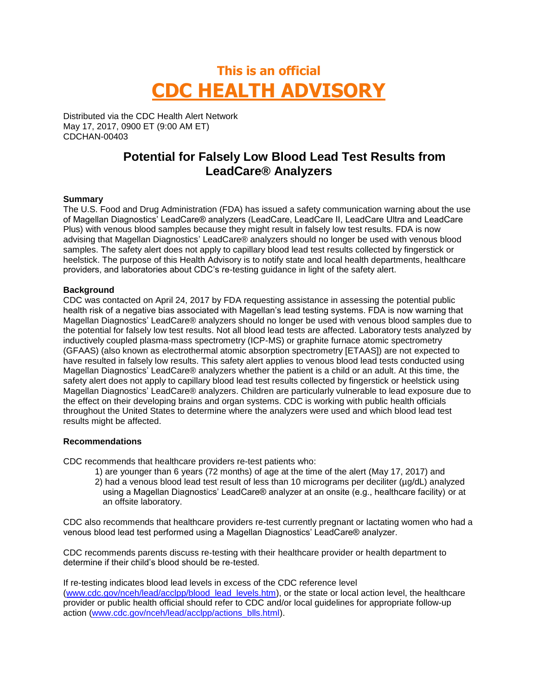# **This is an official CDC HEALTH ADVISORY**

Distributed via the CDC Health Alert Network May 17, 2017, 0900 ET (9:00 AM ET) CDCHAN-00403

## **Potential for Falsely Low Blood Lead Test Results from LeadCare® Analyzers**

### **Summary**

The U.S. Food and Drug Administration (FDA) has issued a safety communication warning about the use of Magellan Diagnostics' LeadCare® analyzers (LeadCare, LeadCare II, LeadCare Ultra and LeadCare Plus) with venous blood samples because they might result in falsely low test results. FDA is now advising that Magellan Diagnostics' LeadCare® analyzers should no longer be used with venous blood samples. The safety alert does not apply to capillary blood lead test results collected by fingerstick or heelstick. The purpose of this Health Advisory is to notify state and local health departments, healthcare providers, and laboratories about CDC's re-testing guidance in light of the safety alert.

#### **Background**

CDC was contacted on April 24, 2017 by FDA requesting assistance in assessing the potential public health risk of a negative bias associated with Magellan's lead testing systems. FDA is now warning that Magellan Diagnostics' LeadCare® analyzers should no longer be used with venous blood samples due to the potential for falsely low test results. Not all blood lead tests are affected. Laboratory tests analyzed by inductively coupled plasma-mass spectrometry (ICP-MS) or graphite furnace atomic spectrometry (GFAAS) (also known as electrothermal atomic absorption spectrometry [ETAAS]) are not expected to have resulted in falsely low results. This safety alert applies to venous blood lead tests conducted using Magellan Diagnostics' LeadCare® analyzers whether the patient is a child or an adult. At this time, the safety alert does not apply to capillary blood lead test results collected by fingerstick or heelstick using Magellan Diagnostics' LeadCare® analyzers. Children are particularly vulnerable to lead exposure due to the effect on their developing brains and organ systems. CDC is working with public health officials throughout the United States to determine where the analyzers were used and which blood lead test results might be affected.

#### **Recommendations**

CDC recommends that healthcare providers re-test patients who:

- 1) are younger than 6 years (72 months) of age at the time of the alert (May 17, 2017) and
- 2) had a venous blood lead test result of less than 10 micrograms per deciliter (µg/dL) analyzed using a Magellan Diagnostics' LeadCare® analyzer at an onsite (e.g., healthcare facility) or at an offsite laboratory.

CDC also recommends that healthcare providers re-test currently pregnant or lactating women who had a venous blood lead test performed using a Magellan Diagnostics' LeadCare® analyzer.

CDC recommends parents discuss re-testing with their healthcare provider or health department to determine if their child's blood should be re-tested.

If re-testing indicates blood lead levels in excess of the CDC reference level [\(www.cdc.gov/nceh/lead/acclpp/blood\\_lead\\_levels.htm\)](http://www.cdc.gov/nceh/lead/acclpp/blood_lead_levels.htm), or the state or local action level, the healthcare provider or public health official should refer to CDC and/or local guidelines for appropriate follow-up action [\(www.cdc.gov/nceh/lead/acclpp/actions\\_blls.html\)](http://www.cdc.gov/nceh/lead/acclpp/actions_blls.html).